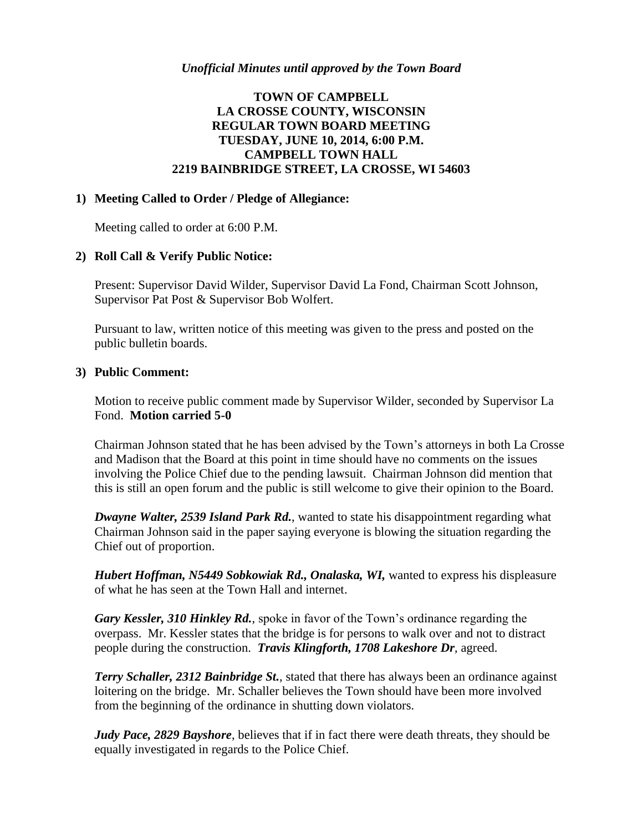# **TOWN OF CAMPBELL LA CROSSE COUNTY, WISCONSIN REGULAR TOWN BOARD MEETING TUESDAY, JUNE 10, 2014, 6:00 P.M. CAMPBELL TOWN HALL 2219 BAINBRIDGE STREET, LA CROSSE, WI 54603**

#### **1) Meeting Called to Order / Pledge of Allegiance:**

Meeting called to order at 6:00 P.M.

#### **2) Roll Call & Verify Public Notice:**

Present: Supervisor David Wilder, Supervisor David La Fond, Chairman Scott Johnson, Supervisor Pat Post & Supervisor Bob Wolfert.

Pursuant to law, written notice of this meeting was given to the press and posted on the public bulletin boards.

#### **3) Public Comment:**

Motion to receive public comment made by Supervisor Wilder, seconded by Supervisor La Fond. **Motion carried 5-0**

Chairman Johnson stated that he has been advised by the Town's attorneys in both La Crosse and Madison that the Board at this point in time should have no comments on the issues involving the Police Chief due to the pending lawsuit. Chairman Johnson did mention that this is still an open forum and the public is still welcome to give their opinion to the Board.

*Dwayne Walter, 2539 Island Park Rd.*, wanted to state his disappointment regarding what Chairman Johnson said in the paper saying everyone is blowing the situation regarding the Chief out of proportion.

*Hubert Hoffman, N5449 Sobkowiak Rd., Onalaska, WI,* wanted to express his displeasure of what he has seen at the Town Hall and internet.

*Gary Kessler, 310 Hinkley Rd.*, spoke in favor of the Town's ordinance regarding the overpass. Mr. Kessler states that the bridge is for persons to walk over and not to distract people during the construction. *Travis Klingforth, 1708 Lakeshore Dr*, agreed.

*Terry Schaller, 2312 Bainbridge St.*, stated that there has always been an ordinance against loitering on the bridge. Mr. Schaller believes the Town should have been more involved from the beginning of the ordinance in shutting down violators.

*Judy Pace, 2829 Bayshore, believes that if in fact there were death threats, they should be* equally investigated in regards to the Police Chief.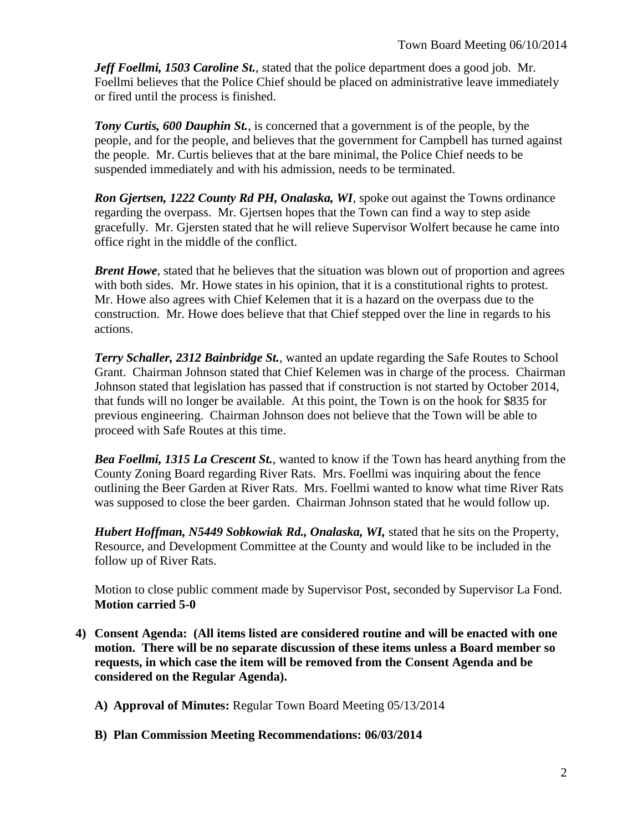*Jeff Foellmi, 1503 Caroline St.*, stated that the police department does a good job. Mr. Foellmi believes that the Police Chief should be placed on administrative leave immediately or fired until the process is finished.

*Tony Curtis, 600 Dauphin St.*, is concerned that a government is of the people, by the people, and for the people, and believes that the government for Campbell has turned against the people. Mr. Curtis believes that at the bare minimal, the Police Chief needs to be suspended immediately and with his admission, needs to be terminated.

*Ron Gjertsen, 1222 County Rd PH, Onalaska, WI*, spoke out against the Towns ordinance regarding the overpass. Mr. Gjertsen hopes that the Town can find a way to step aside gracefully. Mr. Gjersten stated that he will relieve Supervisor Wolfert because he came into office right in the middle of the conflict.

*Brent Howe*, stated that he believes that the situation was blown out of proportion and agrees with both sides. Mr. Howe states in his opinion, that it is a constitutional rights to protest. Mr. Howe also agrees with Chief Kelemen that it is a hazard on the overpass due to the construction. Mr. Howe does believe that that Chief stepped over the line in regards to his actions.

*Terry Schaller, 2312 Bainbridge St.*, wanted an update regarding the Safe Routes to School Grant. Chairman Johnson stated that Chief Kelemen was in charge of the process. Chairman Johnson stated that legislation has passed that if construction is not started by October 2014, that funds will no longer be available. At this point, the Town is on the hook for \$835 for previous engineering. Chairman Johnson does not believe that the Town will be able to proceed with Safe Routes at this time.

*Bea Foellmi, 1315 La Crescent St.*, wanted to know if the Town has heard anything from the County Zoning Board regarding River Rats. Mrs. Foellmi was inquiring about the fence outlining the Beer Garden at River Rats. Mrs. Foellmi wanted to know what time River Rats was supposed to close the beer garden. Chairman Johnson stated that he would follow up.

*Hubert Hoffman, N5449 Sobkowiak Rd., Onalaska, WI, stated that he sits on the Property,* Resource, and Development Committee at the County and would like to be included in the follow up of River Rats.

Motion to close public comment made by Supervisor Post, seconded by Supervisor La Fond. **Motion carried 5-0**

**4) Consent Agenda: (All items listed are considered routine and will be enacted with one motion. There will be no separate discussion of these items unless a Board member so requests, in which case the item will be removed from the Consent Agenda and be considered on the Regular Agenda).**

**A) Approval of Minutes:** Regular Town Board Meeting 05/13/2014

**B) Plan Commission Meeting Recommendations: 06/03/2014**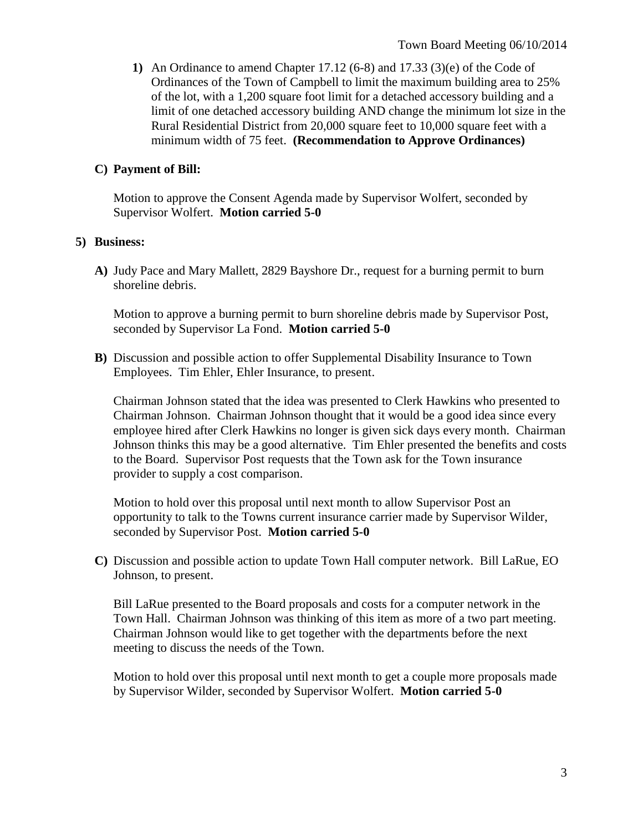**1)** An Ordinance to amend Chapter 17.12 (6-8) and 17.33 (3)(e) of the Code of Ordinances of the Town of Campbell to limit the maximum building area to 25% of the lot, with a 1,200 square foot limit for a detached accessory building and a limit of one detached accessory building AND change the minimum lot size in the Rural Residential District from 20,000 square feet to 10,000 square feet with a minimum width of 75 feet. **(Recommendation to Approve Ordinances)**

### **C) Payment of Bill:**

Motion to approve the Consent Agenda made by Supervisor Wolfert, seconded by Supervisor Wolfert. **Motion carried 5-0**

#### **5) Business:**

**A)** Judy Pace and Mary Mallett, 2829 Bayshore Dr., request for a burning permit to burn shoreline debris.

Motion to approve a burning permit to burn shoreline debris made by Supervisor Post, seconded by Supervisor La Fond. **Motion carried 5-0**

**B)** Discussion and possible action to offer Supplemental Disability Insurance to Town Employees. Tim Ehler, Ehler Insurance, to present.

Chairman Johnson stated that the idea was presented to Clerk Hawkins who presented to Chairman Johnson. Chairman Johnson thought that it would be a good idea since every employee hired after Clerk Hawkins no longer is given sick days every month. Chairman Johnson thinks this may be a good alternative. Tim Ehler presented the benefits and costs to the Board. Supervisor Post requests that the Town ask for the Town insurance provider to supply a cost comparison.

Motion to hold over this proposal until next month to allow Supervisor Post an opportunity to talk to the Towns current insurance carrier made by Supervisor Wilder, seconded by Supervisor Post. **Motion carried 5-0**

**C)** Discussion and possible action to update Town Hall computer network. Bill LaRue, EO Johnson, to present.

Bill LaRue presented to the Board proposals and costs for a computer network in the Town Hall. Chairman Johnson was thinking of this item as more of a two part meeting. Chairman Johnson would like to get together with the departments before the next meeting to discuss the needs of the Town.

Motion to hold over this proposal until next month to get a couple more proposals made by Supervisor Wilder, seconded by Supervisor Wolfert. **Motion carried 5-0**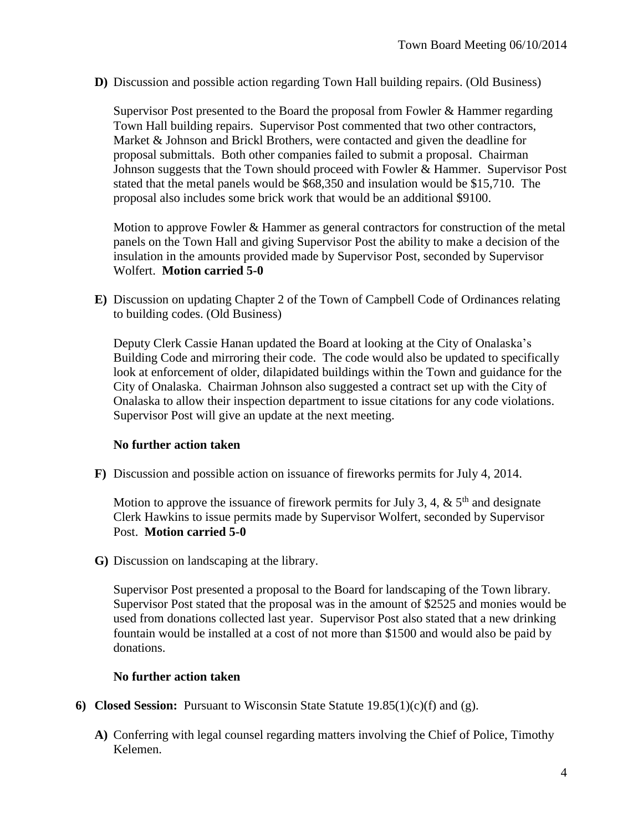**D)** Discussion and possible action regarding Town Hall building repairs. (Old Business)

Supervisor Post presented to the Board the proposal from Fowler & Hammer regarding Town Hall building repairs. Supervisor Post commented that two other contractors, Market & Johnson and Brickl Brothers, were contacted and given the deadline for proposal submittals. Both other companies failed to submit a proposal. Chairman Johnson suggests that the Town should proceed with Fowler & Hammer. Supervisor Post stated that the metal panels would be \$68,350 and insulation would be \$15,710. The proposal also includes some brick work that would be an additional \$9100.

Motion to approve Fowler & Hammer as general contractors for construction of the metal panels on the Town Hall and giving Supervisor Post the ability to make a decision of the insulation in the amounts provided made by Supervisor Post, seconded by Supervisor Wolfert. **Motion carried 5-0**

**E)** Discussion on updating Chapter 2 of the Town of Campbell Code of Ordinances relating to building codes. (Old Business)

Deputy Clerk Cassie Hanan updated the Board at looking at the City of Onalaska's Building Code and mirroring their code. The code would also be updated to specifically look at enforcement of older, dilapidated buildings within the Town and guidance for the City of Onalaska. Chairman Johnson also suggested a contract set up with the City of Onalaska to allow their inspection department to issue citations for any code violations. Supervisor Post will give an update at the next meeting.

## **No further action taken**

**F)** Discussion and possible action on issuance of fireworks permits for July 4, 2014.

Motion to approve the issuance of firework permits for July 3, 4,  $\&$  5<sup>th</sup> and designate Clerk Hawkins to issue permits made by Supervisor Wolfert, seconded by Supervisor Post. **Motion carried 5-0**

**G)** Discussion on landscaping at the library.

Supervisor Post presented a proposal to the Board for landscaping of the Town library. Supervisor Post stated that the proposal was in the amount of \$2525 and monies would be used from donations collected last year. Supervisor Post also stated that a new drinking fountain would be installed at a cost of not more than \$1500 and would also be paid by donations.

#### **No further action taken**

- **6) Closed Session:** Pursuant to Wisconsin State Statute 19.85(1)(c)(f) and (g).
	- **A)** Conferring with legal counsel regarding matters involving the Chief of Police, Timothy Kelemen.